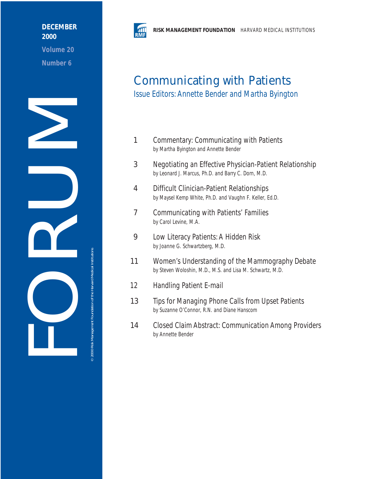## **DECEMBER 2000**

**Volume 20 Number 6**





# Communicating with Patients

Issue Editors: Annette Bender and Martha Byington

- 1 Commentary: Communicating with Patients by Martha Byington and Annette Bender
- 3 Negotiating an Effective Physician-Patient Relationship by Leonard J. Marcus, Ph.D. and Barry C. Dorn, M.D.
- 4 Difficult Clinician-Patient Relationships by Maysel Kemp White, Ph.D. and Vaughn F. Keller, Ed.D.
- 7 Communicating with Patients' Families by Carol Levine, M.A.
- 9 Low Literacy Patients: A Hidden Risk by Joanne G. Schwartzberg, M.D.
- 11 Women's Understanding of the Mammography Debate by Steven Woloshin, M.D., M.S. and Lisa M. Schwartz, M.D.
- 12 Handling Patient E-mail
- 13 Tips for Managing Phone Calls from Upset Patients by Suzanne O'Connor, R.N. and Diane Hanscom
- 14 Closed Claim Abstract: Communication Among Providers by Annette Bender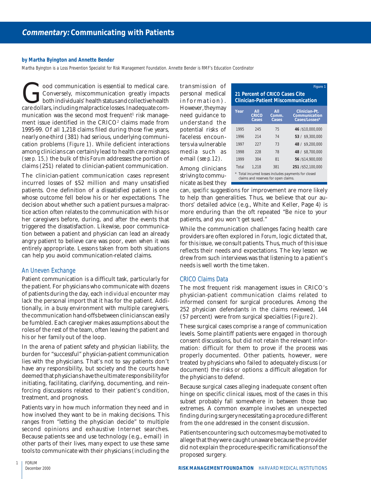#### **by Martha Byington and Annette Bender**

Martha Byington is a Loss Prevention Specialist for Risk Management Foundation. Annette Bender is RMF's Education Coordinator

**Conversely, miscommunication greatly impacts**<br>Conversely, miscommunication greatly impacts<br>both individuals' health status and collective health<br>care dollars, including malpractice losses. Inadequate com-Conversely, miscommunication greatly impacts both individuals' health status and collective health care dollars, including malpractice losses. Inadequate communication was the second most frequent $^{\scriptscriptstyle 1}$  risk management issue identified in the  $\mathrm{CRICO^{2}}$  claims made from 1995-99. Of all 1,218 claims filed during those five years, nearly one-third (381) had serious, underlying communication problems (*Figure 1*). While deficient interactions among clinicians can certainly lead to health care mishaps (*see p. 15,*) the bulk of this *Forum* addresses the portion of claims (251) related to clinician-patient communication.

The clinician-patient communication cases represent incurred losses of \$52 million and many unsatisfied patients. One definition of a dissatisfied patient is one whose outcome fell below his or her expectations. The decision about whether such a patient pursues a malpractice action often relates to the communication with his or her caregivers before, during, and after the events that triggered the dissatisfaction. Likewise, poor communication between a patient and physician can lead an already angry patient to believe care was poor, even when it was entirely appropriate. Lessons taken from both situations can help you avoid communication-related claims.

## An Uneven Exchange

Patient communication is a difficult task, particularly for the patient. For physicians who communicate with dozens of patients during the day, each *individual* encounter may lack the personal import that it has for the patient. Additionally, in a busy environment with multiple caregivers, the communication hand-offs between clinicians can easily be fumbled. Each caregiver makes assumptions about the roles of the rest of the team, often leaving the patient and his or her family out of the loop.

In the arena of patient safety and physician liability, the burden for "successful" physician-patient communication lies with the physicians. That's not to say patients don't have any responsibility, but society and the courts have deemed that physicians have the ultimate responsibility for initiating, facilitating, clarifying, documenting, and reinforcing discussions related to their patient's condition, treatment, and prognosis.

Patients vary in how much information they need and in how involved they want to be in making decisions. This ranges from "letting the physician decide" to multiple second opinions and exhaustive Internet searches. Because patients see and use technology (e.g., e-mail) in other parts of their lives, many expect to use these same tools to communicate with their physicians (including the

transmission of personal medical information). However, they may need guidance to understand the potential risks of faceless encounters via vulnerable media such as e-mail (*see p.12*).

| Among clinicians    |  |
|---------------------|--|
| striving to commu-  |  |
| nicate as best they |  |

|                                    | Figure 1 |
|------------------------------------|----------|
| 21 Percent of CRICO Cases Cite     |          |
| Clinician-Patient Miscommunication |          |

| Year  | All<br><b>CRICO</b><br>Cases | All<br>Comm.<br>Cases | Clinician-Pt.<br>Communication<br>Cases/Losses* |
|-------|------------------------------|-----------------------|-------------------------------------------------|
| 1995  | 245                          | 75                    | 46 / \$10,000,000                               |
| 1996  | 214                          | 74                    | 53 / \$9,300,000                                |
| 1997  | 227                          | 73                    | 48 / \$9,200,000                                |
| 1998  | 228                          | 78                    | 48 / \$8,700,000                                |
| 1999  | 304                          | 81                    | 56 / \$14,900,000                               |
| Total | 1.218                        | 381                   | 251 / \$52,100,000                              |

\* Total incurred losses includes payments for closed claims and reserves for open claims.

can, *specific* suggestions for improvement are more likely to help than generalities. Thus, we believe that our authors' detailed advice (e.g., White and Keller, Page 4) is more enduring than the oft repeated "Be nice to your patients, and you won't get sued."

While the communication challenges facing health care providers are often explored in *Forum*, logic dictated that, for this issue*,* we consult patients. Thus, much of this issue reflects their needs and expectations. The key lesson we drew from such interviews was that listening to a patient's needs is well worth the time taken.

## CRICO Claims Data

The most frequent risk management issues in CRICO's physician-patient communication claims related to informed consent for surgical procedures. Among the 252 physician defendants in the claims reviewed, 144 (57 percent) were from surgical specialties (*Figure 2*).

These surgical cases comprise a range of communication levels. Some plaintiff patients were engaged in thorough consent discussions, but did not retain the relevant information: difficult for them to prove if the process was properly documented. Other patients, however, were treated by physicians who failed to adequately discuss (or document) the risks or options: a difficult allegation for the physicians to defend.

Because surgical cases alleging inadequate consent often hinge on specific clinical issues, most of the cases in this subset probably fall somewhere in between those two extremes. A common example involves an unexpected finding during surgery necessitating a procedure different from the one addressed in the consent discussion.

Patients encountering such outcomes may be motivated to allege that they were caught unaware because the provider did not explain the procedure-specific ramifications of the proposed surgery.

1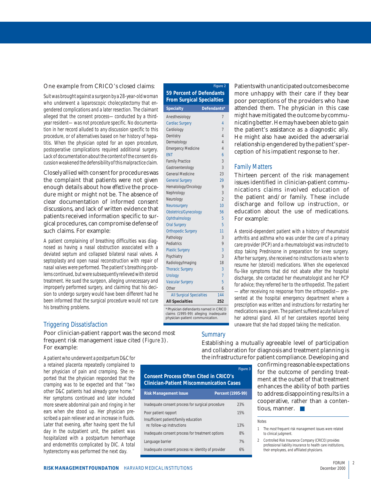#### One example from CRICO's closed claims:

Suit was brought against a surgeon by a 28-year-old woman who underwent a laparoscopic cholecystectomy that engendered complications and a later resection. The claimant alleged that the consent process—conducted by a thirdyear resident—was not procedure specific. No documentation in her record alluded to any discussion specific to this procedure, or of alternatives based on her history of hepatitis. When the physician opted for an open procedure, postoperative complications required additional surgery. Lack of documentation about the content of the consent discussion weakened the defensibility of this malpractice claim.

Closely allied with consent for procedures was the complaint that patients were not given enough details about how *effective* the procedure might or might not be. The absence of clear documentation of informed consent discussions, and lack of written evidence that patients received information specific to surgical procedures, can compromise defense of such claims. For example:

A patient complaining of breathing difficulties was diagnosed as having a nasal obstruction associated with a deviated septum and collapsed bilateral nasal valves. A septoplasty and open nasal reconstruction with repair of nasal valves were performed. The patient's breathing problems continued, but were subsequently relieved with steroid treatment. He sued the surgeon, alleging unnecessary and improperly performed surgery, and claiming that his decision to undergo surgery would have been different had he been informed that the surgical procedure would not cure his breathing problems.

## Triggering Dissatisfaction

Poor clinician-patient rapport was the second most frequent risk management issue cited (*Figure 3*). For example:

A patient who underwent a postpartum D&C for a retained placenta repeatedly complained to her physician of pain and cramping. She reported that the physician responded that the cramping was to be expected and that "two other D&C patients had already gone home." Her symptoms continued and later included more severe abdominal pain and ringing in her ears when she stood up. Her physician prescribed a pain reliever and an increase in fluids. Later that evening, after having spent the full day in the outpatient unit, the patient was hospitalized with a postpartum hemorrhage and endometritis complicated by DIC. A total hysterectomy was performed the next day.

|                                                                                                                  | Figure 2       |  |  |  |
|------------------------------------------------------------------------------------------------------------------|----------------|--|--|--|
| 59 Percent of Defendants<br><b>From Surgical Specialties</b>                                                     |                |  |  |  |
| <b>Specialty</b>                                                                                                 | Defendants*    |  |  |  |
| Anesthesiology                                                                                                   | 7              |  |  |  |
| <b>Cardiac Surgery</b>                                                                                           | $\overline{4}$ |  |  |  |
| Cardiology                                                                                                       | 7              |  |  |  |
| Dentistry                                                                                                        | 4              |  |  |  |
| Dermatology                                                                                                      | 4              |  |  |  |
| <b>Emergency Medicine</b>                                                                                        | $\overline{4}$ |  |  |  |
| <b>ENT</b>                                                                                                       | 6              |  |  |  |
| <b>Family Practice</b>                                                                                           | 3              |  |  |  |
| Gastroenterology                                                                                                 | 3              |  |  |  |
| <b>General Medicine</b>                                                                                          | 23             |  |  |  |
| <b>General Surgery</b>                                                                                           | 29             |  |  |  |
| Hematology/Oncology                                                                                              | 9              |  |  |  |
| Nephrology                                                                                                       | 3              |  |  |  |
| Neurology                                                                                                        | $\overline{2}$ |  |  |  |
| Neurosurgery                                                                                                     | 10             |  |  |  |
| Obstetrics/Gynecology                                                                                            | 56             |  |  |  |
| Ophthalmology                                                                                                    | 5              |  |  |  |
| <b>Oral Surgery</b>                                                                                              | 5              |  |  |  |
| <b>Orthopedic Surgery</b>                                                                                        | 11             |  |  |  |
| Pathology                                                                                                        | 3              |  |  |  |
| Pediatrics                                                                                                       | 9              |  |  |  |
| <b>Plastic Surgery</b>                                                                                           | 3              |  |  |  |
| Psychiatry                                                                                                       | 3              |  |  |  |
| Radiology/Imaging                                                                                                | 18             |  |  |  |
| <b>Thoracic Surgery</b>                                                                                          | 3              |  |  |  |
| <b>Urology</b>                                                                                                   | $\overline{1}$ |  |  |  |
| <b>Vascular Surgery</b>                                                                                          | 5              |  |  |  |
| Other                                                                                                            | 6              |  |  |  |
| <b>All Surgical Specialties</b>                                                                                  | 144            |  |  |  |
| <b>All Specialties</b>                                                                                           | 252            |  |  |  |
| *Physician defendants named in CRICO<br>claims (1995-99) alleging inadequate<br>physician-patient communication. |                |  |  |  |

Patients with unanticipated outcomes become more unhappy with their care if they bear poor perceptions of the providers who have attended them. The physician in this case *might* have mitigated the outcome by communicating better. He may have been able to gain the patient's assistance as a diagnostic ally. He might also have avoided the adversarial relationship engendered by the patient's perception of his impatient response to her.

## Family Matters

Thirteen percent of the risk management issues identified in clinician-patient communications claims involved education of the patient and/or family. These include discharge and follow up instruction, or education about the use of medications. For example:

A steroid-dependent patient with a history of rheumatoid arthritis and asthma who was under the care of a primary care provider (PCP) and a rheumatologist was instructed to stop taking Prednisone in preparation for knee surgery. After her surgery, she received no instructions as to when to resume her (steroid) medications. When she experienced flu-like symptoms that did not abate after the hospital discharge, she contacted her rheumatologist and her PCP for advice; they referred her to the orthopedist. The patient —after receiving no response from the orthopedist—presented at the hospital emergency department where a prescription was written and instructions for restarting her medications was given. The patient suffered acute failure of her adrenal gland. All of her caretakers reported being unaware that she had stopped taking the medication.

## **Summary**

Establishing a mutually agreeable level of participation and collaboration for diagnosis and treatment planning is the infrastructure for patient compliance. Developing and

**Figure 3 Consent Process Often Cited in CRICO's Clinician-Patient Miscommunication Cases Risk Management Issue Percent (1995-99)** Inadequate consent process for surgical procedure 23% Poor patient rapport 15%

Insufficient patient/family education

re: follow-up instructions 13% Inadequate consent process for treatment options 8% Language barrier 7% Inadequate consent process re: identity of provider 6%

confirming reasonable expectations for the outcome of pending treatment at the outset of that treatment enhances the ability of both parties to address disappointing results in a cooperative, rather than a contentious, manner. ■

#### Notes

1 The most frequent risk management issues were related to clinical judgment.

2 Controlled Risk Insurance Company (CRICO) provides professional liability insurance to health care institutions, their employees, and affiliated physicians.

**RISK MANAGEMENT FOUNDATION** HARVARD MEDICAL INSTITUTIONS

FORUM December 2000 2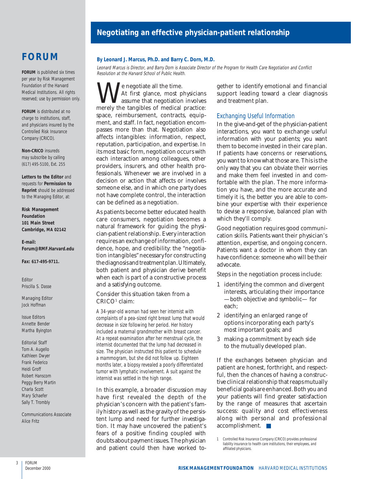## **Negotiating an effective physician-patient relationship**

## **FORUM**

**FORUM** is published six times per year by Risk Management Foundation of the Harvard Medical Institutions. All rights reserved; use by permission only.

**FORUM** is distributed at no charge to institutions, staff, and physicians insured by the Controlled Risk Insurance Company (CRICO).

**Non-CRICO** insureds may subscribe by calling (617) 495-5100, Ext. 255

**Letters to the Editor** and requests for **Permission to Reprint** should be addressed to the Managing Editor, at:

**Risk Management Foundation 101 Main Street Cambridge, MA 02142**

**E-mail: Forum@RMF.Harvard.edu**

**Fax: 617-495-9711.**

Editor Priscilla S. Dasse

Managing Editor Jock Hoffman

Issue Editors Annette Bender Martha Byington

Editorial Staff

Tom A. Augello Kathleen Dwyer Frank Federico Heidi Groff Robert Hanscom Peggy Berry Martin Charla Scott Mary Schaefer Sally T. Trombly

Communications Associate Alice Fritz

#### **By Leonard J. Marcus, Ph.D. and Barry C. Dorn, M.D.**

Leonard Marcus is Director, and Barry Dorn is Associate Director of the Program for Health Care Negotiation and Conflict Resolution at the Harvard School of Public Health.

We negotiate all the time.<br>At first glance, most physicians<br>merely the tangibles of medical practice: At first glance, most physicians assume that negotiation involves space, reimbursement, contracts, equipment, and staff. In fact, negotiation encompasses more than that. Negotiation also affects intangibles: information, respect, reputation, participation, and expertise. In its most basic form, negotiation occurs with each interaction among colleagues, other providers, insurers, and other health professionals. Whenever we are involved in a decision or action that affects or involves someone else, and in which one party does not have complete control, the interaction can be defined as a negotiation.

As patients become better educated health care consumers, negotiation becomes a natural framework for guiding the physician-patient relationship. Every interaction requires an exchange of information, confidence, hope, and credibility: the "negotiation intangibles" necessary for constructing the diagnosis and treatment plan. Ultimately, both patient and physician derive benefit when each is part of a constructive process and a satisfying outcome.

## Consider this situation taken from a  $CRICO<sup>1</sup> claim:$

A 34-year-old woman had seen her internist with complaints of a pea-sized right breast lump that would decrease in size following her period. Her history included a maternal grandmother with breast cancer. At a repeat examination after her menstrual cycle, the internist documented that the lump had decreased in size. The physician instructed this patient to schedule a mammogram, but she did not follow up. Eighteen months later, a biopsy revealed a poorly differentiated tumor with lymphatic involvement. A suit against the internist was settled in the high range.

In this example, a broader discussion may have first revealed the depth of the physician's concern with the patient's family history as well as the gravity of the persistent lump and need for further investigation. It may have uncovered the patient's fears of a positive finding coupled with doubts about payment issues. The physician and patient could then have worked together to identify emotional and financial support leading toward a clear diagnosis and treatment plan.

#### Exchanging Useful Information

In the give-and-get of the physician-patient interactions, you want to exchange useful information with your patients; you want them to become invested in their care plan. If patients have concerns or reservations, you want to know what those are. This is the only way that you can obviate their worries and make them feel invested in and comfortable with the plan. The more information you have, and the more accurate and timely it is, the better you are able to combine your expertise with their experience to devise a responsive, balanced plan with which they'll comply.

Good negotiation requires good communication skills. Patients want their physician's attention, expertise, and ongoing concern. Patients want a doctor in whom they can have confidence: someone who will be their advocate.

Steps in the negotiation process include:

- 1 identifying the common and divergent interests, articulating their importance —both objective and symbolic— for each;
- 2 identifying an enlarged range of options incorporating each party's most important goals; and
- 3 making a commitment by each side to the mutually developed plan.

If the exchanges between physician and patient are honest, forthright, and respectful, then the chances of having a constructive clinical relationship that reaps mutually beneficial goals are enhanced. Both you and your patients will find greater satisfaction by the range of measures that ascertain success: quality and cost effectiveness along with personal and professional accomplishment. ■

<sup>1</sup> Controlled Risk Insurance Company (CRICO) provides professional liability insurance to health care institutions, their employees, and affiliated physicians.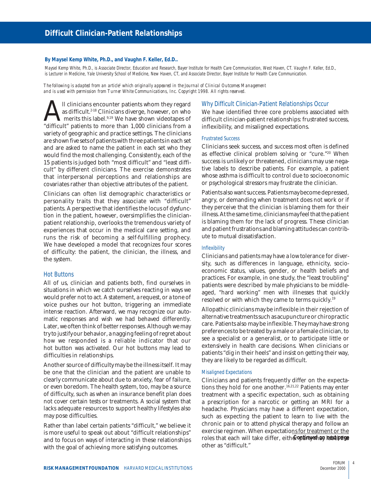#### **By Maysel Kemp White, Ph.D., and Vaughn F. Keller, Ed.D..**

Maysel Kemp White, Ph.D., is Associate Director, Education and Research, Bayer Institute for Health Care Communication, West Haven, CT. Vaughn F. Keller, Ed.D., is Lecturer in Medicine, Yale University School of Medicine, New Haven, CT, and Associate Director, Bayer Institute for Health Care Communication.

*The following is adapted from an article1 which originally appeared in the Journal of Clinical Outcomes Management and is used with permission from Turner White Communications, Inc. Copyright 1998. All rights reserved.*

Il clinicians encounter patients whom they regard<br>as difficult.<sup>248</sup> Clinicians diverge, however, on who<br>"difficult" patients to more than 1,000 clinicians from a as difficult.<sup>2-18</sup> Clinicians diverge, however, on who merits this label.<sup>9,19</sup> We have shown videotapes of variety of geographic and practice settings. The clinicians are shown five sets of patients with three patients in each set and are asked to name the patient in each set who they would find the most challenging. Consistently, each of the 15 patients is judged both "most difficult" and "least difficult" by different clinicians. The exercise demonstrates that interpersonal perceptions and relationships are covariates rather than objective attributes of the patient.

Clinicians can often list demographic characteristics or personality traits that they associate with "difficult" patients. A perspective that identifies the locus of dysfunction in the patient, however, oversimplifies the clinicianpatient relationship, overlooks the tremendous variety of experiences that occur in the medical care setting, and runs the risk of becoming a self-fulfilling prophecy. We have developed a model that recognizes four scores of difficulty: the patient, the clinician, the illness, and the system.

#### Hot Buttons

All of us, clinician and patients both, find ourselves in situations in which we catch ourselves reacting in ways we would prefer not to act. A statement, a request, or a tone of voice pushes our hot button, triggering an immediate intense reaction. Afterward, we may recognize our automatic responses and wish we had behaved differently. Later, we often think of better responses. Although we may try to justify our behavior, a nagging feeling of regret about how we responded is a reliable indicator that our hot button was activated. Our hot buttons may lead to difficulties in relationships.

Another source of difficulty may be the illness itself. It may be one that the clinician and the patient are unable to clearly communicate about due to anxiety, fear of failure, or even boredom. The health system, too, may be a source of difficulty, such as when an insurance benefit plan does not cover certain tests or treatments. A social system that lacks adequate resources to support healthy lifestyles also may pose difficulties.

Rather than label certain patients "difficult," we believe it is more useful to speak out about "difficult relationships" and to focus on ways of interacting in these relationships with the goal of achieving more satisfying outcomes.

#### Why Difficult Clinician-Patient Relationships Occur

We have identified three core problems associated with difficult clinician-patient relationships: frustrated success, inflexibility, and misaligned expectations.

#### Frustrated Success

Clinicians seek success, and success most often is defined as effective clinical problem solving or "cure."20 When success is unlikely or threatened, clinicians may use negative labels to describe patients. For example, a patient whose asthma is difficult to control due to socioeconomic or psychological stressors may frustrate the clinician.

Patients also want success. Patients may become depressed, angry, or demanding when treatment does not work or if they perceive that the clinician is blaming them for their illness. At the same time, clinicians may feel that the patient is blaming them for the lack of progress. These clinician and patient frustrations and blaming attitudes can contribute to mutual dissatisfaction.

#### Inflexibility

Clinicians and patients may have a low tolerance for diversity, such as differences in language, ethnicity, socioeconomic status, values, gender, or health beliefs and practices. For example, in one study, the "least troubling" patients were described by male physicians to be middleaged, "hard working" men with illnesses that quickly resolved or with which they came to terms quickly.19

Allopathic clinicians may be inflexible in their rejection of alternative treatments such as acupuncture or chiropractic care. Patients also may be inflexible. They may have strong preferences to be treated by a male or a female clinician, to see a specialist or a generalist, or to participate little or extensively in health care decisions. When clinicians or patients "dig in their heels" and insist on getting their way, they are likely to be regarded as difficult.

#### Misaligned Expectations

Clinicians and patients frequently differ on the expectations they hold for one another.<sup>16,21,22</sup> Patients may enter treatment with a specific expectation, such as obtaining a prescription for a narcotic or getting an MRI for a headache. Physicians may have a different expectation, such as expecting the patient to learn to live with the chronic pain or to attend physical therapy and follow an exercise regimen. When expectations for treatment or the roles that each will take differ, eith**e&***optinyed on next\prage* other as "difficult."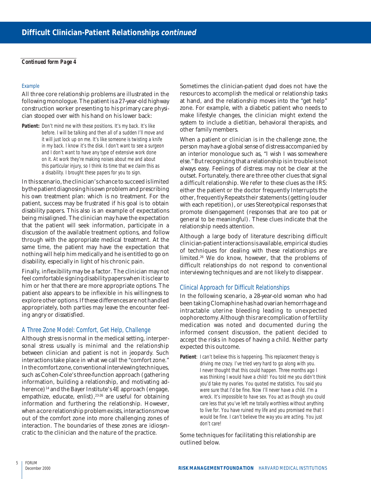#### *Continued form Page 4*

#### Example

All three core relationship problems are illustrated in the following monologue. The patient is a 27-year-old highway construction worker presenting to his primary care physician stooped over with his hand on his lower back:

Patient: Don't mind me with these positions. It's my back. It's like before. I will be talking and then all of a sudden I'll move and it will just lock up on me. It's like someone is twisting a knife in my back. I know it's the disk. I don't want to see a surgeon and I don't want to have any type of extensive work done on it. At work they're making noises about me and about this particular injury, so I think its time that we claim this as a disability. I brought these papers for you to sign.

In this scenario, the clinician's chance to succeed is limited by the patient diagnosing his own problem and prescribing his own treatment plan: which is no treatment. For the patient, success may be frustrated if his goal is to obtain disability papers. This also is an example of expectations being misaligned. The clinician may have the expectation that the patient will seek information, participate in a discussion of the available treatment options, and follow through with the appropriate medical treatment. At the same time, the patient may have the expectation that nothing will help him medically and he is entitled to go on disability, especially in light of his chronic pain.

Finally, inflexibility may be a factor. The clinician may not feel comfortable signing disability papers when it is clear to him or her that there are more appropriate options. The patient also appears to be inflexible in his willingness to explore other options. If these differences are not handled appropriately, both parties may leave the encounter feeling angry or dissatisfied.

## A Three Zone Model: Comfort, Get Help, Challenge

Although stress is normal in the medical setting, interpersonal stress usually is minimal and the relationship between clinician and patient is not in jeopardy. Such interactions take place in what we call the "comfort zone." In the comfort zone, conventional interviewing techniques, such as Cohen-Cole's three-function approach (gathering information, building a relationship, and motivating adherence)<sup>14</sup> and the Bayer Institute's 4E approach (engage, empathize, educate, enlist),<sup>23-26</sup> are useful for obtaining information and furthering the relationship. However, when a core relationship problem exists, interactions move out of the comfort zone into more challenging zones of interaction. The boundaries of these zones are idiosyncratic to the clinician and the nature of the practice.

Sometimes the clinician-patient dyad does not have the resources to accomplish the medical or relationship tasks at hand, and the relationship moves into the "get help" zone. For example, with a diabetic patient who needs to make lifestyle changes, the clinician might extend the system to include a dietitian, behavioral therapists, and other family members.

When a patient or clinician is in the challenge zone, the person may have a global sense of distress accompanied by an interior monologue such as, "I wish I was somewhere else." But recognizing that a relationship is in trouble is not always easy. Feelings of distress may not be clear at the outset. Fortunately, there are three other clues that signal a difficult relationship. We refer to these clues as the IRS: either the patient or the doctor frequently Interrupts the other, frequently Repeats their statements (getting louder with each repetition), or uses Stereotypical responses that promote disengagement (responses that are too pat or general to be meaningful). These clues indicate that the relationship needs attention.

Although a large body of literature describing difficult clinician-patient interactions is available, empirical studies of techniques for dealing with these relationships are limited.26 We do know, however, that the problems of difficult relationships do not respond to conventional interviewing techniques and are not likely to disappear.

## Clinical Approach for Difficult Relationships

In the following scenario, a 28-year-old woman who had been taking Clomaphine has had ovarian hemorrhage and intractable uterine bleeding leading to unexpected oophorectomy. Although this rare complication of fertility medication was noted and documented during the informed consent discussion, the patient decided to accept the risks in hopes of having a child. Neither party expected this outcome.

**Patient**: I can't believe this is happening. This replacement therapy is driving me crazy. I've tried very hard to go along with you. I never thought that this could happen. Three months ago I was thinking I would have a child! You told me you didn't think you'd take my ovaries. You quoted me statistics. You said you were sure that I'd be fine. Now I'll never have a child. I'm a wreck. It's impossible to have sex. You act as though you could care less that you've left me totally worthless without anything to live for. You have ruined my life and you promised me that I would be fine. I can't believe the way you are acting. You just don't care!

Some techniques for facilitating this relationship are outlined below.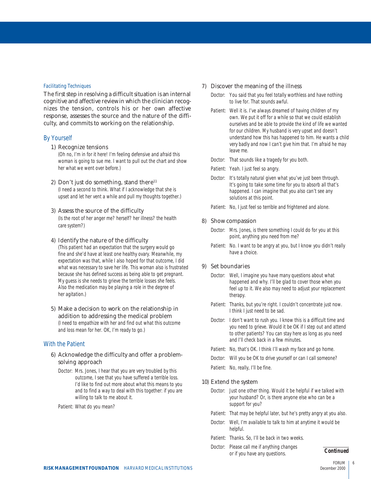#### Facilitating Techniques

The first step in resolving a difficult situation is an internal cognitive and affective review in which the clinician recognizes the tension, controls his or her own affective response, assesses the source and the nature of the difficulty, and commits to working on the relationship.

#### By Yourself

#### 1) Recognize tensions

(Oh no, I'm in for it here! I'm feeling defensive and afraid this woman is going to sue me. I want to pull out the chart and show her what we went over before.)

#### 2) Don't just do something, stand there<sup>11</sup>

(I need a second to think. What if I acknowledge that she is upset and let her vent a while and pull my thoughts together.)

#### 3) Assess the source of the difficulty

(Is the root of her anger me? herself? her illness? the health care system?)

#### 4) Identify the nature of the difficulty

(This patient had an expectation that the surgery would go fine and she'd have at least one healthy ovary. Meanwhile, my expectation was that, while I also hoped for that outcome, I did what was necessary to save her life. This woman also is frustrated because she has defined success as being able to get pregnant. My guess is she needs to grieve the terrible losses she feels. Also the medication may be playing a role in the degree of her agitation.)

5) Make a decision to work on the relationship in addition to addressing the medical problem (I need to empathize with her and find out what this outcome and loss mean for her. OK, I'm ready to go.)

## With the Patient

## 6) Acknowledge the difficulty and offer a problemsolving approach

Doctor: Mrs. Jones, I hear that you are very troubled by this outcome, I see that you have suffered a terrible loss. I'd like to find out more about what this means to you and to find a way to deal with this together: if you are willing to talk to me about it.

Patient: What do you mean?

## 7) Discover the meaning of the illness

- Doctor: You said that you feel totally worthless and have nothing to live for. That sounds awful.
- Patient: Well it is. I've always dreamed of having children of my own. We put it off for a while so that we could establish ourselves and be able to provide the kind of life we wanted for our children. My husband is very upset and doesn't understand how this has happened to him. He wants a child very badly and now I can't give him that. I'm afraid he may leave me.
- Doctor: That sounds like a tragedy for you both.
- Patient: Yeah. I just feel so angry.
- Doctor: It's totally natural given what you've just been through. It's going to take some time for you to absorb all that's happened. I can imagine that you also can't see any solutions at this point.
- Patient: No, I just feel so terrible and frightened and alone.

## 8) Show compassion

- Doctor: Mrs. Jones, is there something I could do for you at this point, anything you need from me?
- Patient: No. I want to be angry at you, but I know you didn't really have a choice.

## 9) Set boundaries

- Doctor: Well, I imagine you have many questions about what happened and why. I'll be glad to cover those when you feel up to it. We also may need to adjust your replacement therapy.
- Patient: Thanks, but you're right. I couldn't concentrate just now. I think I just need to be sad.
- Doctor: I don't want to rush you. I know this is a difficult time and you need to grieve. Would it be OK if I step out and attend to other patients? You can stay here as long as you need and I'll check back in a few minutes.
- Patient: No, that's OK. I think I'll wash my face and go home.
- Doctor: Will you be OK to drive yourself or can I call someone?
- Patient: No, really, I'll be fine.

## 10) Extend the system

- Doctor: Just one other thing. Would it be helpful if we talked with your husband? Or, is there anyone else who can be a support for you?
- Patient: That may be helpful later, but he's pretty angry at you also.
- Doctor: Well, I'm available to talk to him at anytime it would be helpful.
- Patient: Thanks. So, I'll be back in two weeks.
- Doctor: Please call me if anything changes or if you have any questions. *Continued*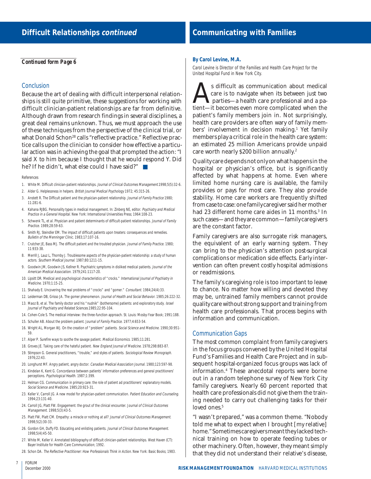#### *Continued form Page 6*

#### **Conclusion**

Because the art of dealing with difficult interpersonal relationships is still quite primitive, these suggestions for working with difficult clinician-patient relationships are far from definitive. Although drawn from research findings in several disciplines, a great deal remains unknown. Thus, we must approach the use of these techniques from the perspective of the clinical trial, or what Donald Schon<sup>28</sup> calls "reflective practice." Reflective practice calls upon the clinician to consider how effective a particular action was in achieving the goal that prompted the action: "I said X to him because I thought that he would respond Y. Did he? If he didn't, what else could I have said?" ■

#### References

- 1. White M. Difficult clinician-patient relationships. Journal of Clinical Outcomes Management.1998;5(5):32-6.
- 2. Alder G. Helplessness in helpers. British Journal Medical Psychology 1972; 45:315-26.
- 3. Anstett R. The Difficult patient and the physician-patient relationship. Journal of Family Practice 1980; 11:281-6.
- 4. Kahana RJBG. Personality types in medical management. In: Zinberg NE, editor. Psychiatry and Medical Practice in a General Hospital. New York: International Universities Press; 1964:108-23.
- 5. Schwenk TL, et al. Physician and patient determinants of difficult-patient relationships. Journal of Family Practice. 1989;28:59-63.
- 6. Smith RJ, Steindler EM. The impact of difficult patients upon treaters: consequences and remedies. Bulletin of the Menninger Clinic. 1983;17:107-16.
- 7. Crutcher JE, Bass MJ. The difficult patient and the troubled physician. Journal of Family Practice. 1980; 11:933-38.
- 8. Merrill J, Lauz L, Thornby J. Troublesome aspects of the physician-patient relationship: a study of human actors. Southern Medical Journal. 1987;80:1211-15.
- 9. Goodwin JM, Goodwin JS, Kellner R. Psychiatric symptoms in disliked medical patients. Journal of the American Medical Association. 1979;241:1117-20.
- 10. Lipsitt DR. Medical and psychological characteristics of "crocks." International Journal of Psychiatry in Medicine. 1970;1:15-25.
- 11. Shahady E. Uncovering the real problems of "crocks" and "gomer." Consultant. 1984;24(4):33.
- 12. Leiderman DB, Grisso JA. The gomer phenomenon. Journal of Health and Social Behavior. 1985;26:222-32.
- 13. Maoz B, et al. The family doctor and his "nudnik" (bothersome) patients: and exploratory study. Israel Journal of Psychiatry and Related Sciences.1985;22:95-104.
- 14. Cohen-Cole S. The medical interview: the three-function approach. St. Louis: Mosby-Year Book; 1991:188.
- 15. Schuller AB. About the problem patient. Journal of Family Practice. 1977;4:653-54.
- 16. Wright AL, Morgan WJ. On the creation of "problem" patients. Social Science and Medicine. 1990;30:951-59.
- 17. Alper P. Surefire ways to soothe the savage patient. Medical Economics. 1985;11:281.
- 18. Groves JE. Taking care of the hateful patient. New England Journal of Medicine. 1978;298:883-87.
- 19. Stimpson G. General practitioners, "trouble," and styles of patients. Sociological Review Monograph. 1976;22:43.
- 20. Longhurst MF. Angry patient, angry doctor. Canadian Medical Association Journal. 1980;123:597-98.
- 21. Kindelan K, Kent G. Concordance between patients' information preferences and general practitioners' perceptions. Psychological Health. 1987;1:399.
- 22. Helman CG. Communication in primary care: the role of patient ad practitioners' explanatory models. Social Science and Medicine. 1985;20:923-31.
- 23. Keller V, Carroll JG. A new model for physician-patient communication. Patient Education and Counseling. 1994;23:131-40.
- 24. Carroll JG, Platt FW. Engagement: the grout of the clinical encounter. Journal of Clinical Outcomes Management. 1998;5(3):43-5.
- 25. Platt FW, Platt CM. Empathy: a miracle or nothing at all? Journal of Clinical Outcomes Management. 1998;5(2):30-33.
- 26. Gordon GH, Duffy FD. Educating and enlisting patients. Journal of Clinical Outcomes Management. 1998;5(4):45-50.
- 27. White M, Keller V. Annotated bibliography of difficult clinician-patient relationships. West Haven (CT): Bayer Institute for Health Care Communication; 1992.
- 28. Schon DA. The Reflective Practitioner: How Professionals Think in Action. New York: Basic Books; 1983.

#### **By Carol Levine, M.A.**

Carol Levine is Director of the Families and Health Care Project for the United Hospital Fund in New York City.

s difficult as communication about medical care is to navigate when its between just two parties—a health care professional and a patient—it becomes even more complicated when the patient's family members join in. Not surprisingly, health care providers are often wary of family members' involvement in decision making.1 Yet family members play a critical role in the health care system: an estimated 25 million Americans provide unpaid care worth nearly \$200 billion annually.2

Quality care depends not only on what happens in the hospital or physician's office, but is significantly affected by what happens at home. Even where limited home nursing care is available, the family provides or pays for most care. They also provide stability. Home care workers are frequently shifted from case to case: one family caregiver said her mother had 23 different home care aides in 11 months.<sup>3</sup> In such cases—and they are common—family caregivers are the constant factor.

Family caregivers are also surrogate risk managers, the equivalent of an early warning system. They can bring to the physician's attention post-surgical complications or medication side effects. Early intervention can often prevent costly hospital admissions or readmissions.

The family's caregiving role is too important to leave to chance. No matter how willing and devoted they may be, untrained family members cannot provide quality care without strong support and training from health care professionals. That process begins with information and communication.

#### Communication Gaps

The most common complaint from family caregivers in the focus groups convened by the United Hospital Fund's Families and Health Care Project and in subsequent hospital-organized focus groups was lack of information.4 These anecdotal reports were borne out in a random telephone survey of New York City family caregivers. Nearly 60 percent reported that health care professionals did not give them the training needed to carry out challenging tasks for their loved ones.<sup>5</sup>

"I wasn't prepared," was a common theme. "Nobody told me what to expect when I brought [my relative] home." Sometimes caregivers meant they lacked technical training on how to operate feeding tubes or other machinery. Often, however, they meant simply that they did not understand their relative's disease,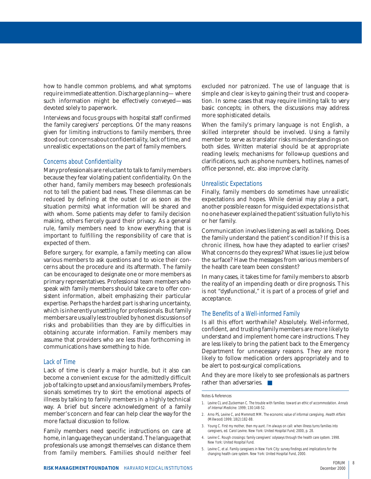how to handle common problems, and what symptoms require immediate attention. Discharge planning— where such information might be effectively conveyed—was devoted solely to paperwork.

Interviews and focus groups with hospital staff confirmed the family caregivers' perceptions. Of the many reasons given for limiting instructions to family members, three stood out: concerns about confidentiality, lack of time, and unrealistic expectations on the part of family members.

#### Concerns about Confidentiality

Many professionals are reluctant to talk to family members because they fear violating patient confidentiality. On the other hand, family members may beseech professionals not to tell the patient bad news. These dilemmas can be reduced by defining at the outset (or as soon as the situation permits) what information will be shared and with whom. Some patients may defer to family decision making, others fiercely guard their privacy. As a general rule, family members need to know everything that is important to fulfilling the responsibility of care that is expected of them.

Before surgery, for example, a family meeting can allow various members to ask questions and to voice their concerns about the procedure and its aftermath. The family can be encouraged to designate one or more members as primary representatives. Professional team members who speak with family members should take care to offer consistent information, albeit emphasizing their particular expertise. Perhaps the hardest part is sharing uncertainty, which is inherently unsettling for professionals. But family members are usually less troubled by honest discussions of risks and probabilities than they are by difficulties in obtaining accurate information. Family members may assume that providers who are less than forthcoming in communications have something to hide.

#### Lack of Time

Lack of time is clearly a major hurdle, but it also can become a convenient excuse for the admittedly difficult job of talking to upset and anxious family members. Professionals sometimes try to skirt the emotional aspects of illness by talking to family members in a highly technical way. A brief but sincere acknowledgment of a family member's concern and fear can help clear the way for the more factual discussion to follow.

Family members need specific instructions on care at home, in language they can understand. The language that professionals use amongst themselves can distance them from family members. Families should neither feel excluded nor patronized. The use of language that is simple and clear is key to gaining their trust and cooperation. In some cases that may require limiting talk to very basic concepts; in others, the discussions may address more sophisticated details.

When the family's primary language is not English, a skilled interpreter should be involved. Using a family member to serve as translator risks misunderstandings on both sides. Written material should be at appropriate reading levels; mechanisms for follow-up questions and clarifications, such as phone numbers, hotlines, names of office personnel, etc. also improve clarity.

## Unrealistic Expectations

Finally, family members do sometimes have unrealistic expectations and hopes. While denial may play a part, another possible reason for misguided expectations is that no one has ever explained the patient's situation fully to his or her family.

Communication involves listening as well as talking. Does the family understand the patient's condition? If this is a chronic illness, how have they adapted to earlier crises? What concerns do they express? What issues lie just below the surface? Have the messages from various members of the health care team been consistent?

In many cases, it takes time for family members to absorb the reality of an impending death or dire prognosis. This is not "dysfunctional," it is part of a process of grief and acceptance.

## The Benefits of a Well-informed Family

Is all this effort worthwhile? Absolutely. Well-informed, confident, and trusting family members are more likely to understand and implement home care instructions. They are less likely to bring the patient back to the Emergency Department for unnecessary reasons. They are more likely to follow medication orders appropriately and to be alert to post-surgical complications.

And they are more likely to see professionals as partners rather than adversaries. ■

#### Notes & References

- 1. Levine CL and Zuckerman C. The trouble with families: toward an ethic of accommodation. Annals of Internal Medicine. 1999; 130:148-52.
- 2. Arno PS, Levine C, and Memmott MM. The economic value of informal caregiving. Health Affairs (Millwood) 1999; 18(2):182-88.
- 3. Young C. First my mother, then my aunt. I'm always on call: when illness turns families into caregivers, ed. Carol Levine. New York: United Hospital Fund; 2000, p. 28.
- 4. Levine C. Rough crossings: family caregivers' odysseys through the health care system. 1998. New York: United Hospital Fund.
- 5. Levine C, et al. Family caregivers in New York City: survey findings and implications for the changing health care system. New York: United Hospital Fund, 2000.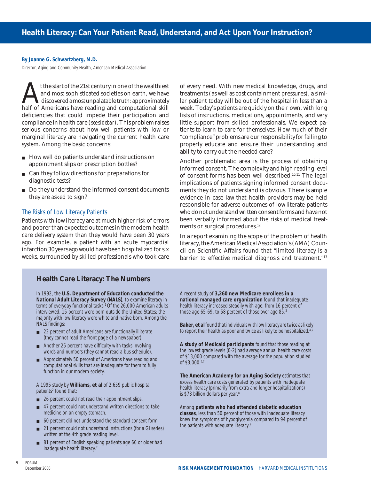#### **By Joanne G. Schwartzberg, M.D.**

Director, Aging and Community Health, American Medical Association

t the start of the 21st century in one of the wealthiest and most sophisticated societies on earth, we have discovered a most unpalatable truth: approximately half of Americans have reading and computational skill deficiencies that could impede their participation and compliance in health care (*see sidebar*). This problem raises serious concerns about how well patients with low or marginal literacy are navigating the current health care system. Among the basic concerns:

- How well do patients understand instructions on appointment slips or prescription bottles?
- Can they follow directions for preparations for diagnostic tests?
- Do they understand the informed consent documents they are asked to sign?

#### The Risks of Low Literacy Patients

Patients with low literacy are at much higher risk of errors and poorer than expected outcomes in the modern health care delivery system than they would have been 30 years ago. For example, a patient with an acute myocardial infarction 30 years ago would have been hospitalized for six weeks, surrounded by skilled professionals who took care

of every need. With new medical knowledge, drugs, and treatments (as well as cost containment pressures), a similar patient today will be out of the hospital in less than a week. Today's patients are quickly on their own, with long lists of instructions, medications, appointments, and very little support from skilled professionals. We expect patients to learn to care for themselves. How much of their "compliance" problems are our responsibility for failing to properly educate and ensure their understanding and ability to carry out the needed care?

Another problematic area is the process of obtaining informed consent. The complexity and high reading level of consent forms has been well described.10,11 The legal implications of patients signing informed consent documents they do not understand is obvious. There is ample evidence in case law that health providers may be held responsible for adverse outcomes of low-literate patients who do not understand written consent forms and have not been verbally informed about the risks of medical treatments or surgical procedures.<sup>12</sup>

In a report examining the scope of the problem of health literacy, the American Medical Association's (AMA) Council on Scientific Affairs found that "limited literacy is a barrier to effective medical diagnosis and treatment."<sup>13</sup>

## **Health Care Literacy: The Numbers**

In 1992, the **U.S. Department of Education conducted the National Adult Literacy Survey (NALS)**, to examine literacy in terms of everyday functional tasks.<sup>1</sup> Of the 26,000 American adults interviewed, 15 percent were born outside the United States; the majority with low literacy were white and native born. Among the NALS findings:

- 22 percent of adult Americans are functionally illiterate (they cannot read the front page of a newspaper).
- Another 25 percent have difficulty with tasks involving words and numbers (they cannot read a bus schedule).
- Approximately 50 percent of Americans have reading and computational skills that are inadequate for them to fully function in our modern society.

A 1995 study by **Williams, et al** of 2,659 public hospital patients2 found that:

- 26 percent could not read their appointment slips,
- 47 percent could not understand written directions to take medicine on an empty stomach,
- 60 percent did not understand the standard consent form,
- 21 percent could not understand instructions (for a GI series) written at the 4th grade reading level.
- 81 percent of English speaking patients age 60 or older had inadequate health literacy.2

A recent study of **3,260 new Medicare enrollees in a national managed care organization** found that inadequate health literacy increased steadily with age, from 16 percent of those age 65-69, to 58 percent of those over age 85.3

**Baker, et al** found that individuals with low literacy are twice as likely to report their health as poor and twice as likely to be hospitalized.<sup>4,5</sup>

**A study of Medicaid participants** found that those reading at the lowest grade levels (0-2) had average annual health care costs of \$13,000 compared with the average for the population studied of \$3,000.6,7

**The American Academy for an Aging Society** estimates that excess health care costs generated by patients with inadequate health literacy (primarily from extra and longer hospitalizations) is \$73 billion dollars per year.<sup>8</sup>

Among **patients who had attended diabetic education classes**, less than 50 percent of those with inadequate literacy knew the symptoms of hypoglycemia compared to 94 percent of the patients with adequate literacy.9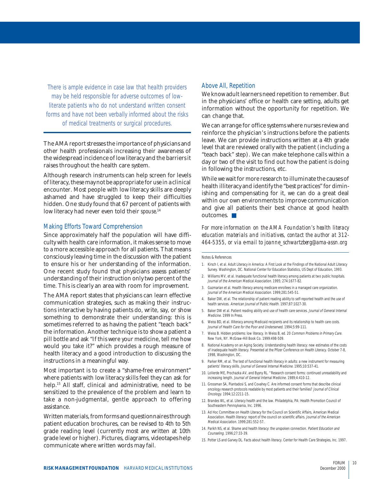There is ample evidence in case law that health providers may be held responsible for adverse outcomes of lowliterate patients who do not understand written consent forms and have not been verbally informed about the risks of medical treatments or surgical procedures.

The AMA report stresses the importance of physicians and other health professionals increasing their awareness of the widespread incidence of low literacy and the barriers it raises throughout the health care system.

Although research instruments can help screen for levels of literacy, these may not be appropriate for use in a clinical encounter. Most people with low literacy skills are deeply ashamed and have struggled to keep their difficulties hidden. One study found that 67 percent of patients with low literacy had never even told their *spouse*. 14

#### Making Efforts Toward Comprehension

Since approximately half the population will have difficulty with health care information, it makes sense to move to a more accessible approach for all patients. That means consciously leaving time in the discussion with the patient to ensure his or her understanding of the information. One recent study found that physicians assess patients' understanding of their instruction only two percent of the time. This is clearly an area with room for improvement.

The AMA report states that physicians can learn effective communication strategies, such as making their instructions interactive by having patients do, write, say, or show something to demonstrate their understanding: this is sometimes referred to as having the patient "teach back" the information. Another technique is to show a patient a pill bottle and ask "If this were your medicine, tell me how would you take it?" which provides a rough measure of health literacy and a good introduction to discussing the instructions in a meaningful way.

Most important is to create a "shame-free environment" where patients with low literacy skills feel they can ask for help.<sup>15</sup> All staff, clinical and administrative, need to be sensitized to the prevalence of the problem and learn to take a non-judgmental, gentle approach to offering assistance.

Written materials, from forms and questionnaires through patient education brochures, can be revised to 4th to 5th grade reading level (currently most are written at 10th grade level or higher). Pictures, diagrams, videotapes help communicate where written words may fail.

## Above All, Repetition

We know adult learners need repetition to remember. But in the physicians' office or health care setting, adults get information without the opportunity for repetition. We can change that.

We can arrange for office systems where nurses review and reinforce the physician's instructions before the patients leave. We can provide instructions written at a 4th grade level that are reviewed orally with the patient (including a "teach back" step). We can make telephone calls within a day or two of the visit to find out how the patient is doing in following the instructions, etc.

While we wait for more research to illuminate the causes of health illiteracy and identify the "best practices" for diminishing and compensating for it, we can do a great deal within our own environments to improve communication and give all patients their best chance at good health outcomes. ■

*For more information on the AMA Foundation's health literacy education materials and initiatives, contact the author at 312- 464-5355, or via e-mail to joanne\_schwartzberg@ama-assn.org*

Notes & References

- 1. Kirsch I, et al. Adult Literacy in America: A First Look at the Findings of the National Adult Literacy Survey. Washington, DC. National Center for Education Statistics, US Dept of Education, 1993.
- 2. Williams MV, et al. Inadequate functional health literacy among patients at two public hospitals. Journal of the American Medical Association. 1995; 274:1677-82
- 3. Gazmarian et al. Health literacy among medicare enrollees in a managed care organization. Journal of the American Medical Association. 1999;281:545-51.
- 4. Baker DW, et al. The relationship of patient reading ability to self-reported health and the use of health services. American Journal of Public Health. 1997;87:1027-30.
- 5. Baker DW et al. Patient reading ability and use of health care services. Journal of General Internal Medicine. 1999 In Press.
- 6. Weiss BD, et al. Illiteracy among Medicaid recipients and its relationship to health care costs. Journal of Health Care for the Poor and Underserved. 1994;5:99-111.
- 7. Weiss B. Hidden problems: low literacy. In Weiss B, ed. 20 Common Problems in Primary Care. New York, NY. McGraw-Hill Book Co. 1999:498-509.
- 8. National Academy on an Aging Society. Understanding health literacy: new estimates of the costs of inadequate health literacy. Presented at the Pfizer Conference on Health Literacy. October 7-8, 1998, Washington, DC.
- 9. Parker RM, et al. The test of functional health literacy in adults: a new instrument for measuring patients' literacy skills. Journal of General Internal Medicine. 1995;10:537-41.
- 10. LoVerde ME, Prochazka AV, and Byyny RL. "Research consent forms: continued unreadability and increasing length. Journal of General Internal Medicine. 1989;4:410-12.
- 11. Grossman SA, Piantadosi S, and Covahey C. Are informed consent forms that describe clinical oncology research protocols readable by most patients and their families? Journal of Clinical Oncology. 1994;12:2211-15.
- 12. Brandes WL, et al. Literacy health and the law. Philadelphia, PA: Health Promotion Council of Southeastern Pennsylvania, Inc. 1996.
- 13. Ad Hoc Committee on Health Literacy for the Council on Scientific Affairs, American Medical Association. Health literacy: report of the council on scientific affairs. Journal of the American Medical Association. 1999;281:552-57.
- 14. Parikh NS, et al. Shame and health literacy: the unspoken connection. Patient Education and Counseling. 1996;27:33-39.
- 15. Potter LS and Garvey DL. Facts about health literacy. Center for Health Care Strategies, Inc. 1997.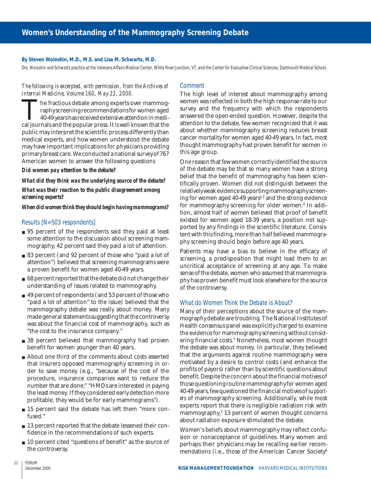#### **By Steven Woloshin, M.D., M.S. and Lisa M. Schwartz, M.D.**

Drs. Woloshin and Schwartz practice at the Veterans Affairs Medical Center, White River Junction, VT, and the Center for Evaluative Clinical Sciences, Dartmouth Medical School.

## *The following is excerpted, with permission, from the Archives of Internal Medicine, Volume 160, May 22, 2000.*

The fractious debate among experts over mammography screening recommendations for women aged 40-49 years has received extensive attention in medical journals and the popular press. It is well known that the raphy screening recommendations for women aged 40-49 years has received extensive attention in medipublic may interpret the scientific process differently than medical experts, and how women understood the debate may have important implications for physicians providing primary breast care. We conducted a national survey of 767 American women to answer the following questions

#### *Did women pay attention to the debate?*

## *What did they think was the underlying source of the debate? What was their reaction to the public disagreement among screening experts?*

#### *When did women think they should begin having mammograms?*

#### Results [N=503 respondents]

- 95 percent of the respondents said they paid at least some attention to the discussion about screening mammography; 42 percent said they paid a lot of attention.
- 83 percent (and 92 percent of those who "paid a lot of attention") believed that screening mammograms were a proven benefit for women aged 40-49 years.
- 68 percent reported that the debate did not change their understanding of issues related to mammography.
- 49 percent of respondents (and 53 percent of those who "paid a lot of attention" to the issue) believed that the mammography debate was really about money. Many made general statements suggesting that the controversy was about the financial cost of mammography, such as "the cost to the insurance company."
- 38 percent believed that mammography had proven benefit for women younger than 40 years.
- About one third of the comments about costs asserted that insurers opposed mammography screening in order to save money (e.g., "because of the cost of the procedure, insurance companies want to reduce the number that are done;" "HMOs are interested in paying the least money. If they considered early detection more profitable, they would be for early mammograms").
- 15 percent said the debate has left them "more confused."
- 13 percent reported that the debate lessened their confidence in the recommendations of such experts.
- 10 percent cited "questions of benefit" as the source of the controversy.

## **Comment**

The high level of interest about mammography among women was reflected in both the high response rate to our survey and the frequency with which the respondents answered the open-ended question. However, despite the attention to the debate, few women recognized that it was about whether mammography screening reduces breast cancer mortality for women aged 40-49 years. In fact, most thought mammography had proven benefit for women in this age group.

One reason that few women correctly identified the source of the debate may be that so many women have a strong belief that the benefit of mammography has been scientifically proven. Women did not distinguish between the relatively weak evidence supporting mammography screening for women aged  $40-49$  years<sup>1-3</sup> and the strong evidence for mammography screening for older women.<sup>4</sup> In addition, almost half of women believed that proof of benefit existed for women aged 18-39 years, a position not supported by any findings in the scientific literature. Consistent with this finding, more than half believed mammography screening should begin before age 40 years.

Patients may have a bias to believe in the efficacy of screening, a predisposition that might lead them to an uncritical acceptance of screening at any age. To make sense of the debate, women who assumed that mammography has proven benefit must look elsewhere for the source of the controversy.

## What do Women Think the Debate is About?

Many of their perceptions about the source of the mammography debate are troubling. The National Institutes of Health consensus panel was explicitly charged to examine the evidence for mammography screening without considering financial costs.5 Nonetheless, most women thought the debate was about money. In particular, they believed that the arguments against routine mammography were motivated by a desire to control costs (and enhance the profits of payors) rather than by scientific questions about benefit. Despite the concern about the financial motives of those questioning routine mammography for women aged 40-49 years, few questioned the financial motives of *supporters* of mammography screening. Additionally, while most experts report that there is negligible radiation risk with mammography,5 13 percent of women thought concerns about radiation exposure stimulated the debate.

Women's beliefs about mammography may reflect confusion or nonacceptance of guidelines. Many women and perhaps their physicians may be recalling earlier recommendations (i.e., those of the American Cancer Society<sup>6</sup>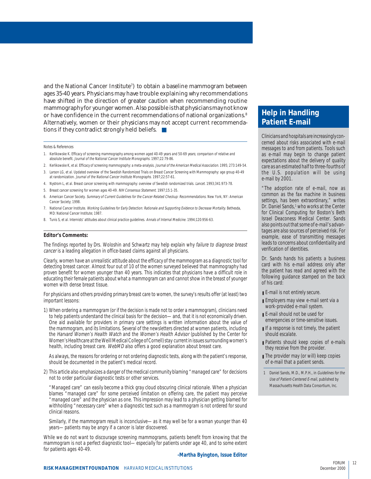and the National Cancer Institute<sup>7</sup>) to obtain a baseline mammogram between ages 35-40 years. Physicians may have trouble explaining why recommendations have shifted in the direction of greater caution when recommending routine mammography for younger women. Also possible is that physicians may not know or have confidence in the current recommendations of national organizations.<sup>8</sup> Alternatively, women or their physicians may not accept current recommendations if they contradict strongly held beliefs. ■

Notes & References

- 1. Kerlikowske K. Efficacy of screening mammography among women aged 40-49 years and 50-69 years; comparison of relative and absolute benefit. Journal of the National Cancer Institute Monographs. 1997;22:79-86.
- 2. Kerlikowske K, et al. Efficacy of screening mammography: a meta-analysis. Journal of the American Medical Association. 1995; 273:149-54.
- 3. Larson LG, et al. Updated overview of the Swedish Randomized Trials on Breast Cancer Screening with Mammography: age group 40-49 at randomization. Journal of the National Cancer Institute Monographs. 1997;22:57-61.
- 4. Nystrom L, et al. Breast cancer screening with mammography: overview of Swedish randomized trials. Lancet. 1993;341:973-78.
- 5. Breast cancer screening for women ages 40-49. NIH Consensus Statement. 1997;15:1-35.
- 6. American Cancer Society. Summary of Current Guidelines for the Cancer-Related Checkup: Recommendations. New York, NY: American Cancer Society; 1998.
- 7. National Cancer Institute. Working Guidelines for Early Detection: Rationale and Supporting Evidence to Decrease Mortality. Bethesda, MD: National Cancer Institute; 1987.
- 8. Tunis S, et al. Internists' attitudes about clinical practice guidelines. Annals of Internal Medicine. 1994;120:956-63.

#### **Editor's Comments:**

The findings reported by Drs. Woloshin and Schwartz may help explain why failure to diagnose breast cancer is a leading allegation in office-based claims against all physicians.

Clearly, women have an unrealistic attitude about the efficacy of the mammogram as a diagnostic tool for detecting breast cancer. Almost four out of 10 of the women surveyed believed that mammography had proven benefit for women younger than 40 years. This indicates that physicians have a difficult role in educating their female patients about what a mammogram can and cannot show in the breast of younger women with dense breast tissue.

For physicians and others providing primary breast care to women, the survey's results offer (at least) two important lessons:

1) When ordering a mammogram (or if the decision is made not to order a mammogram), clinicians need to help patients understand the clinical basis for the decision—and, that it is not economically driven. One aid available for providers in primary care settings is written information about the value of the mammogram, and its limitations. Several of the newsletters directed at women patients, including the Harvard Women's Health Watch and the Women's Health Advisor (published by the Center for Women's Healthcare at the Weill Medical College of Cornell) stay current in issues surrounding women's health, including breast care. WebMD also offers a good explanation about breast care.

As always, the reasons for ordering or not ordering diagnostic tests, along with the patient's response, should be documented in the patient's medical record.

2) This article also emphasizes a danger of the medical community blaming "managed care" for decisions not to order particular diagnostic tests or other services.

"Managed care" can easily become a thick gray cloud obscuring clinical rationale. When a physician blames "managed care" for some perceived limitation on offering care, the patient may perceive "managed care" and the physician as one. This impression may lead to a physician getting blamed for withholding "necessary care" when a diagnostic test such as a mammogram is not ordered for sound clinical reasons.

Similarly, if the mammogram result is inconclusive—as it may well be for a woman younger than 40 years—patients may be angry if a cancer is later discovered.

While we do not want to discourage screening mammograms, patients benefit from knowing that the mammogram is not a perfect diagnostic tool—especially for patients under age 40, and to some extent for patients ages 40-49.

#### **-Martha Byington, Issue Editor**

## **Help in Handling Patient E-mail**

Clinicians and hospitals are increasingly concerned about risks associated with e-mail messages to and from patients. Tools such as e-mail may begin to change patient expectations about the delivery of quality care as an estimated half to three-fourths of the U.S. population will be using e-mail by 2001.

"The adoption rate of e-mail, now as common as the fax machine in business settings, has been extraordinary," writes Dr. Daniel Sands,<sup>1</sup> who works at the Center for Clinical Computing for Boston's Beth Israel Deaconess Medical Center. Sands also points out that some of e-mail's advantages are also sources of perceived risk. For example, ease of transmitting messages leads to concerns about confidentiality and verification of identities.

Dr. Sands hands his patients a business card with his e-mail address only after the patient has read and agreed with the following guidance stamped on the back of his card:

- E-mail is not entirely secure.
- Employers may view e-mail sent via a work-provided e-mail system.
- E-mail should not be used for emergencies or time-sensitive issues.
- If a response is not timely, the patient should escalate.
- Patients should keep copies of e-mails they receive from the provider.
- The provider may (or will) keep copies of e-mail that a patient sends.
- 1 Daniel Sands, M.D., M.P.H., in Guidelines for the Use of Patient-Centered E-mail, published by Massachusetts Health Data Consortium, Inc.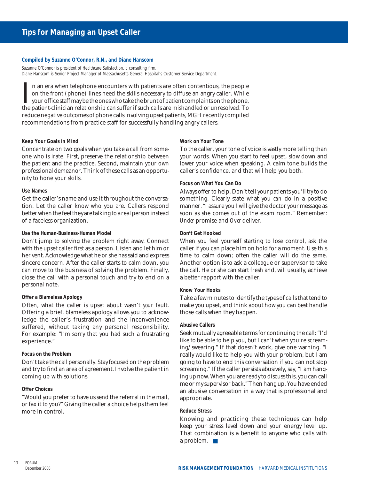#### **Compiled by Suzanne O'Connor, R.N., and Diane Hanscom**

Suzanne O'Connor is president of Healthcare Satisfaction, a consulting firm. Diane Hanscom is Senior Project Manager of Massachusetts General Hospital's Customer Service Department.

In an era when telephone encounters with patients are often contentious, the people on the front (phone) lines need the skills necessary to diffuse an angry caller. While your office staff may be the ones who take the brun n an era when telephone encounters with patients are often contentious, the people on the front (phone) lines need the skills necessary to diffuse an angry caller. While your office staff may be the ones who take the brunt of patient complaints on the phone, reduce negative outcomes of phone calls involving upset patients, MGH recently compiled recommendations from practice staff for successfully handling angry callers.

#### **Keep Your Goals in Mind**

Concentrate on two goals when you take a call from someone who is irate. First, preserve the relationship between the patient and the practice. Second, maintain your own professional demeanor. Think of these calls as an opportunity to hone your skills.

#### **Use Names**

Get the caller's name and use it throughout the conversation. Let the caller know who you are. Callers respond better when the feel they are talking to a real person instead of a faceless organization.

#### **Use the Human-Business-Human Model**

Don't jump to solving the problem right away. Connect with the upset caller first as a person. Listen and let him or her vent. Acknowledge what he or she has said and express sincere concern. After the caller starts to calm down, you can move to the business of solving the problem. Finally, close the call with a personal touch and try to end on a personal note.

#### **Offer a Blameless Apology**

Often, what the caller is upset about wasn't *your* fault. Offering a brief, blameless apology allows you to acknowledge the caller's frustration and the inconvenience suffered, without taking any personal responsibility. For example: "I'm sorry that you had such a frustrating experience."

#### **Focus on the Problem**

Don't take the call personally. Stay focused on the problem and try to find an area of agreement. Involve the patient in coming up with solutions.

#### **Offer Choices**

"Would you prefer to have us send the referral in the mail, or fax it to you?" Giving the caller a choice helps them feel more in control.

#### **Work on Your Tone**

To the caller, your tone of voice is vastly more telling than your words. When you start to feel upset, slow down and lower your voice when speaking. A calm tone builds the caller's confidence, and that will help you both.

#### **Focus on What You Can Do**

Always offer to help. Don't tell your patients you'll *try* to do something. Clearly state what you *can* do in a positive manner. "I assure you I will give the doctor your message as soon as she comes out of the exam room." Remember: *Under-*promise and *Over-*deliver.

#### **Don't Get Hooked**

When you feel yourself starting to lose control, ask the caller if you can place him on hold for a moment. Use this time to calm down; often the caller will do the same. Another option is to ask a colleague or supervisor to take the call. He or she can start fresh and, will usually, achieve a better rapport with the caller.

#### **Know Your Hooks**

Take a few minutes to identify the types of calls that tend to make you upset, and think about how you can best handle those calls when they happen.

#### **Abusive Callers**

Seek mutually agreeable terms for continuing the call: "I'd like to be able to help you, but I can't when you're screaming/swearing." If that doesn't work, give one warning. "I really would like to help you with your problem, but I am going to have to end this conversation if you can not stop screaming." If the caller persists abusively, say, "I am hanging up now. When you are ready to discuss this, you can call me or my supervisor back." Then hang up. You have ended an abusive conversation in a way that is professional and appropriate.

#### **Reduce Stress**

Knowing and practicing these techniques can help keep your stress level down and your energy level up. That combination is a benefit to anyone who calls with a problem. ■